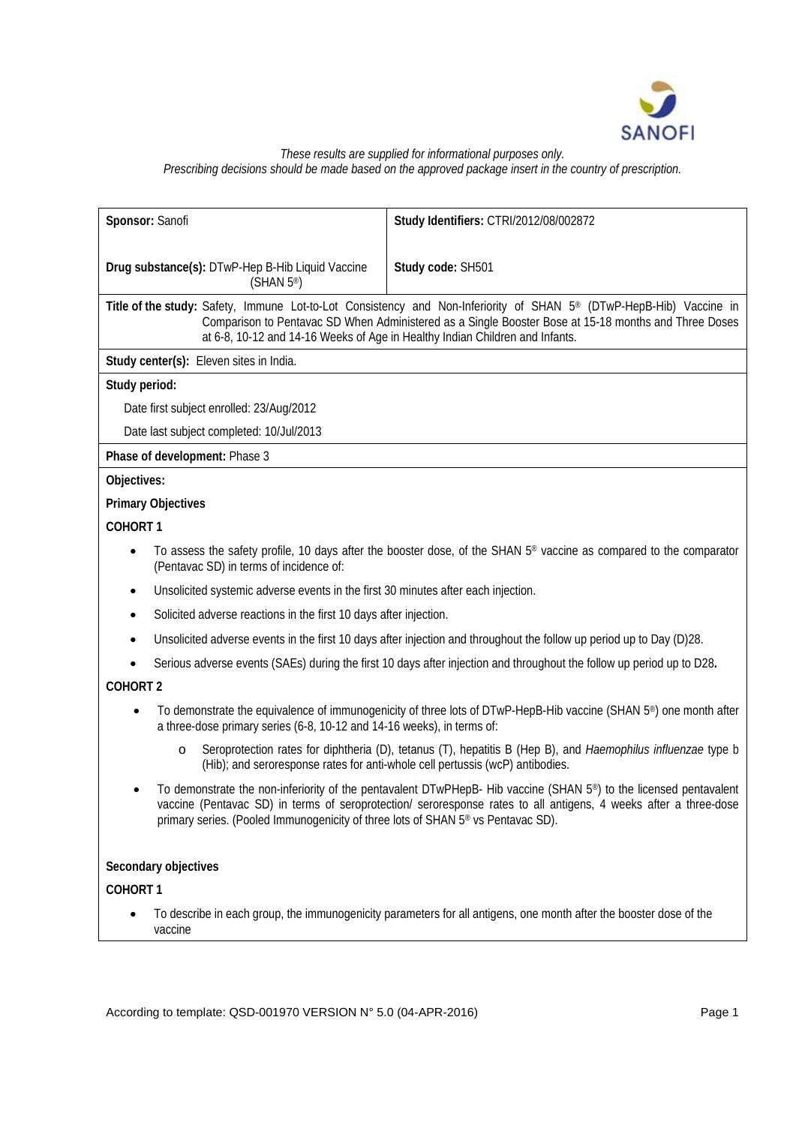

### *These results are supplied for informational purposes only. Prescribing decisions should be made based on the approved package insert in the country of prescription.*

|                                                                            | Sponsor: Sanofi                                                                              | Study Identifiers: CTRI/2012/08/002872                                                                                                                                                                                                                                                                                  |  |
|----------------------------------------------------------------------------|----------------------------------------------------------------------------------------------|-------------------------------------------------------------------------------------------------------------------------------------------------------------------------------------------------------------------------------------------------------------------------------------------------------------------------|--|
| Drug substance(s): DTwP-Hep B-Hib Liquid Vaccine<br>(SHAN 5 <sup>®</sup> ) |                                                                                              | Study code: SH501                                                                                                                                                                                                                                                                                                       |  |
|                                                                            |                                                                                              | Title of the study: Safety, Immune Lot-to-Lot Consistency and Non-Inferiority of SHAN 5 <sup>®</sup> (DTwP-HepB-Hib) Vaccine in<br>Comparison to Pentavac SD When Administered as a Single Booster Bose at 15-18 months and Three Doses<br>at 6-8, 10-12 and 14-16 Weeks of Age in Healthy Indian Children and Infants. |  |
|                                                                            | Study center(s): Eleven sites in India.                                                      |                                                                                                                                                                                                                                                                                                                         |  |
| Study period:                                                              |                                                                                              |                                                                                                                                                                                                                                                                                                                         |  |
|                                                                            | Date first subject enrolled: 23/Aug/2012                                                     |                                                                                                                                                                                                                                                                                                                         |  |
| Date last subject completed: 10/Jul/2013                                   |                                                                                              |                                                                                                                                                                                                                                                                                                                         |  |
|                                                                            | Phase of development: Phase 3                                                                |                                                                                                                                                                                                                                                                                                                         |  |
| Objectives:                                                                |                                                                                              |                                                                                                                                                                                                                                                                                                                         |  |
|                                                                            | <b>Primary Objectives</b>                                                                    |                                                                                                                                                                                                                                                                                                                         |  |
| <b>COHORT 1</b>                                                            |                                                                                              |                                                                                                                                                                                                                                                                                                                         |  |
| $\bullet$                                                                  | (Pentavac SD) in terms of incidence of:                                                      | To assess the safety profile, 10 days after the booster dose, of the SHAN 5 <sup>®</sup> vaccine as compared to the comparator                                                                                                                                                                                          |  |
| ٠                                                                          | Unsolicited systemic adverse events in the first 30 minutes after each injection.            |                                                                                                                                                                                                                                                                                                                         |  |
| $\bullet$                                                                  | Solicited adverse reactions in the first 10 days after injection.                            |                                                                                                                                                                                                                                                                                                                         |  |
| $\bullet$                                                                  |                                                                                              | Unsolicited adverse events in the first 10 days after injection and throughout the follow up period up to Day (D)28.                                                                                                                                                                                                    |  |
|                                                                            |                                                                                              | Serious adverse events (SAEs) during the first 10 days after injection and throughout the follow up period up to D28.                                                                                                                                                                                                   |  |
| <b>COHORT 2</b>                                                            |                                                                                              |                                                                                                                                                                                                                                                                                                                         |  |
|                                                                            | a three-dose primary series (6-8, 10-12 and 14-16 weeks), in terms of:                       | To demonstrate the equivalence of immunogenicity of three lots of DTwP-HepB-Hib vaccine (SHAN 5 <sup>®</sup> ) one month after                                                                                                                                                                                          |  |
|                                                                            | $\circ$<br>(Hib); and seroresponse rates for anti-whole cell pertussis (wcP) antibodies.     | Seroprotection rates for diphtheria (D), tetanus (T), hepatitis B (Hep B), and Haemophilus influenzae type b                                                                                                                                                                                                            |  |
|                                                                            | primary series. (Pooled Immunogenicity of three lots of SHAN 5 <sup>®</sup> vs Pentavac SD). | To demonstrate the non-inferiority of the pentavalent DTwPHepB- Hib vaccine (SHAN 5 <sup>®</sup> ) to the licensed pentavalent<br>vaccine (Pentavac SD) in terms of seroprotection/ seroresponse rates to all antigens, 4 weeks after a three-dose                                                                      |  |
|                                                                            | Secondary objectives                                                                         |                                                                                                                                                                                                                                                                                                                         |  |
| COHORT 1                                                                   |                                                                                              |                                                                                                                                                                                                                                                                                                                         |  |
|                                                                            | vaccine                                                                                      | To describe in each group, the immunogenicity parameters for all antigens, one month after the booster dose of the                                                                                                                                                                                                      |  |

According to template: QSD-001970 VERSION N° 5.0 (04-APR-2016) Page 1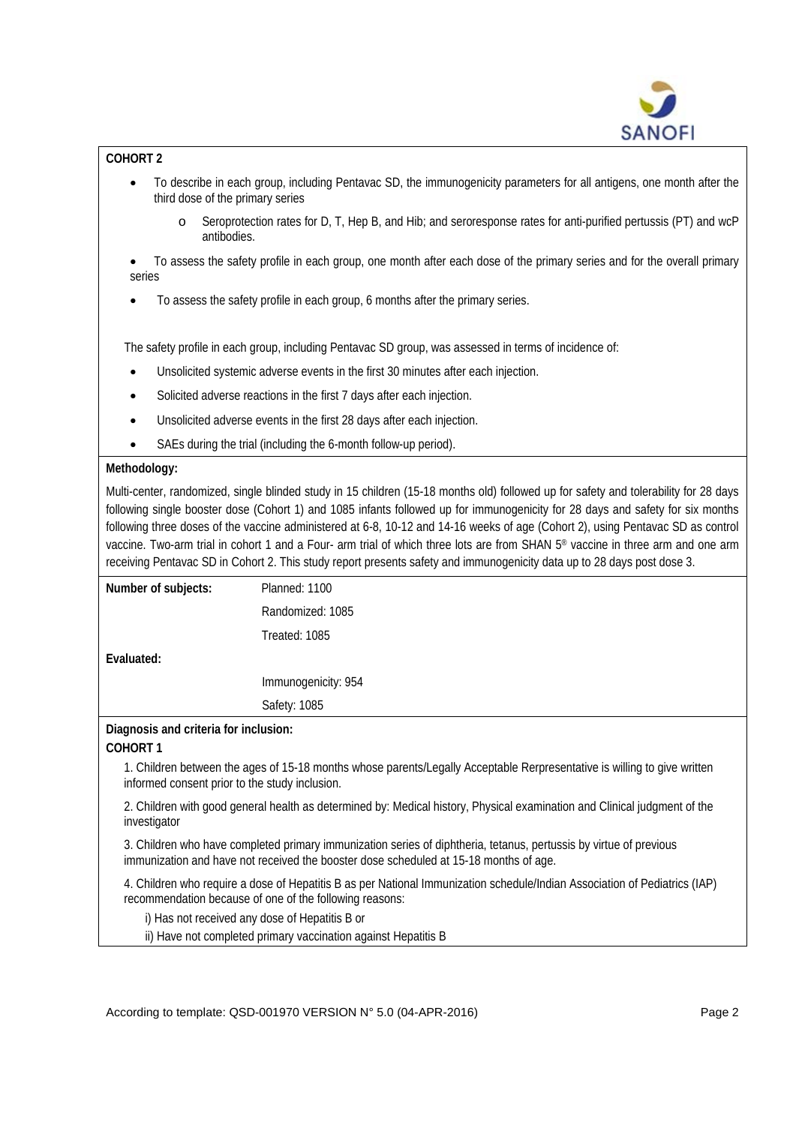

# **COHORT 2**

- To describe in each group, including Pentavac SD, the immunogenicity parameters for all antigens, one month after the third dose of the primary series
	- o Seroprotection rates for D, T, Hep B, and Hib; and seroresponse rates for anti-purified pertussis (PT) and wcP antibodies.

• To assess the safety profile in each group, one month after each dose of the primary series and for the overall primary series

• To assess the safety profile in each group, 6 months after the primary series.

The safety profile in each group, including Pentavac SD group, was assessed in terms of incidence of:

- Unsolicited systemic adverse events in the first 30 minutes after each injection.
- Solicited adverse reactions in the first 7 days after each injection.
- Unsolicited adverse events in the first 28 days after each injection.
- SAEs during the trial (including the 6-month follow-up period).

### **Methodology:**

Multi-center, randomized, single blinded study in 15 children (15-18 months old) followed up for safety and tolerability for 28 days following single booster dose (Cohort 1) and 1085 infants followed up for immunogenicity for 28 days and safety for six months following three doses of the vaccine administered at 6-8, 10-12 and 14-16 weeks of age (Cohort 2), using Pentavac SD as control vaccine. Two-arm trial in cohort 1 and a Four- arm trial of which three lots are from SHAN 5® vaccine in three arm and one arm receiving Pentavac SD in Cohort 2. This study report presents safety and immunogenicity data up to 28 days post dose 3.

| Number of subjects:                   | Planned: 1100       |  |
|---------------------------------------|---------------------|--|
|                                       | Randomized: 1085    |  |
|                                       | Treated: 1085       |  |
| Evaluated:                            |                     |  |
|                                       | Immunogenicity: 954 |  |
|                                       | Safety: 1085        |  |
| Diagnosis and criteria for inclusion: |                     |  |

### **COHORT 1**

1. Children between the ages of 15-18 months whose parents/Legally Acceptable Rerpresentative is willing to give written informed consent prior to the study inclusion.

2. Children with good general health as determined by: Medical history, Physical examination and Clinical judgment of the investigator

3. Children who have completed primary immunization series of diphtheria, tetanus, pertussis by virtue of previous immunization and have not received the booster dose scheduled at 15-18 months of age.

4. Children who require a dose of Hepatitis B as per National Immunization schedule/Indian Association of Pediatrics (IAP) recommendation because of one of the following reasons:

i) Has not received any dose of Hepatitis B or

ii) Have not completed primary vaccination against Hepatitis B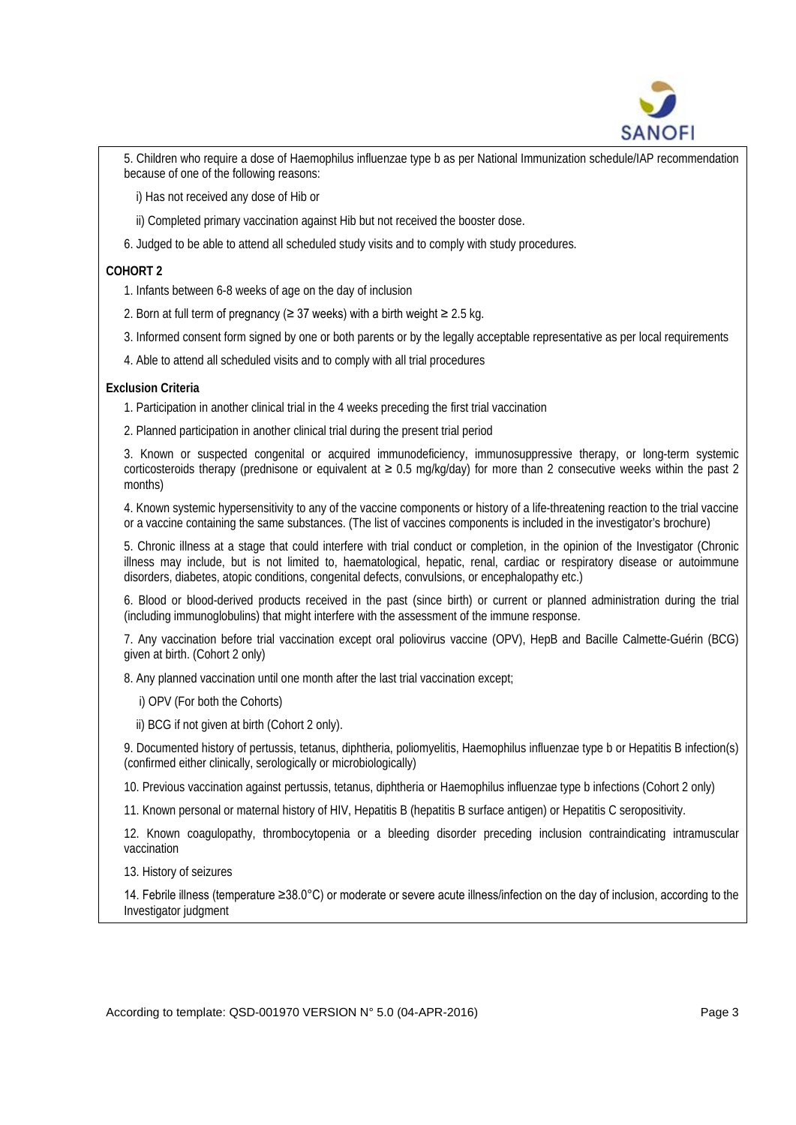

5. Children who require a dose of Haemophilus influenzae type b as per National Immunization schedule/IAP recommendation because of one of the following reasons:

i) Has not received any dose of Hib or

- ii) Completed primary vaccination against Hib but not received the booster dose.
- 6. Judged to be able to attend all scheduled study visits and to comply with study procedures.

# **COHORT 2**

- 1. Infants between 6-8 weeks of age on the day of inclusion
- 2. Born at full term of pregnancy ( $\geq$  37 weeks) with a birth weight  $\geq$  2.5 kg.
- 3. Informed consent form signed by one or both parents or by the legally acceptable representative as per local requirements
- 4. Able to attend all scheduled visits and to comply with all trial procedures

## **Exclusion Criteria**

- 1. Participation in another clinical trial in the 4 weeks preceding the first trial vaccination
- 2. Planned participation in another clinical trial during the present trial period

3. Known or suspected congenital or acquired immunodeficiency, immunosuppressive therapy, or long-term systemic corticosteroids therapy (prednisone or equivalent at ≥ 0.5 mg/kg/day) for more than 2 consecutive weeks within the past 2 months)

4. Known systemic hypersensitivity to any of the vaccine components or history of a life-threatening reaction to the trial vaccine or a vaccine containing the same substances. (The list of vaccines components is included in the investigator's brochure)

5. Chronic illness at a stage that could interfere with trial conduct or completion, in the opinion of the Investigator (Chronic illness may include, but is not limited to, haematological, hepatic, renal, cardiac or respiratory disease or autoimmune disorders, diabetes, atopic conditions, congenital defects, convulsions, or encephalopathy etc.)

6. Blood or blood-derived products received in the past (since birth) or current or planned administration during the trial (including immunoglobulins) that might interfere with the assessment of the immune response.

7. Any vaccination before trial vaccination except oral poliovirus vaccine (OPV), HepB and Bacille Calmette-Guérin (BCG) given at birth. (Cohort 2 only)

8. Any planned vaccination until one month after the last trial vaccination except;

- i) OPV (For both the Cohorts)
- ii) BCG if not given at birth (Cohort 2 only).

9. Documented history of pertussis, tetanus, diphtheria, poliomyelitis, Haemophilus influenzae type b or Hepatitis B infection(s) (confirmed either clinically, serologically or microbiologically)

10. Previous vaccination against pertussis, tetanus, diphtheria or Haemophilus influenzae type b infections (Cohort 2 only)

11. Known personal or maternal history of HIV, Hepatitis B (hepatitis B surface antigen) or Hepatitis C seropositivity.

12. Known coagulopathy, thrombocytopenia or a bleeding disorder preceding inclusion contraindicating intramuscular vaccination

13. History of seizures

14. Febrile illness (temperature ≥38.0°C) or moderate or severe acute illness/infection on the day of inclusion, according to the Investigator judgment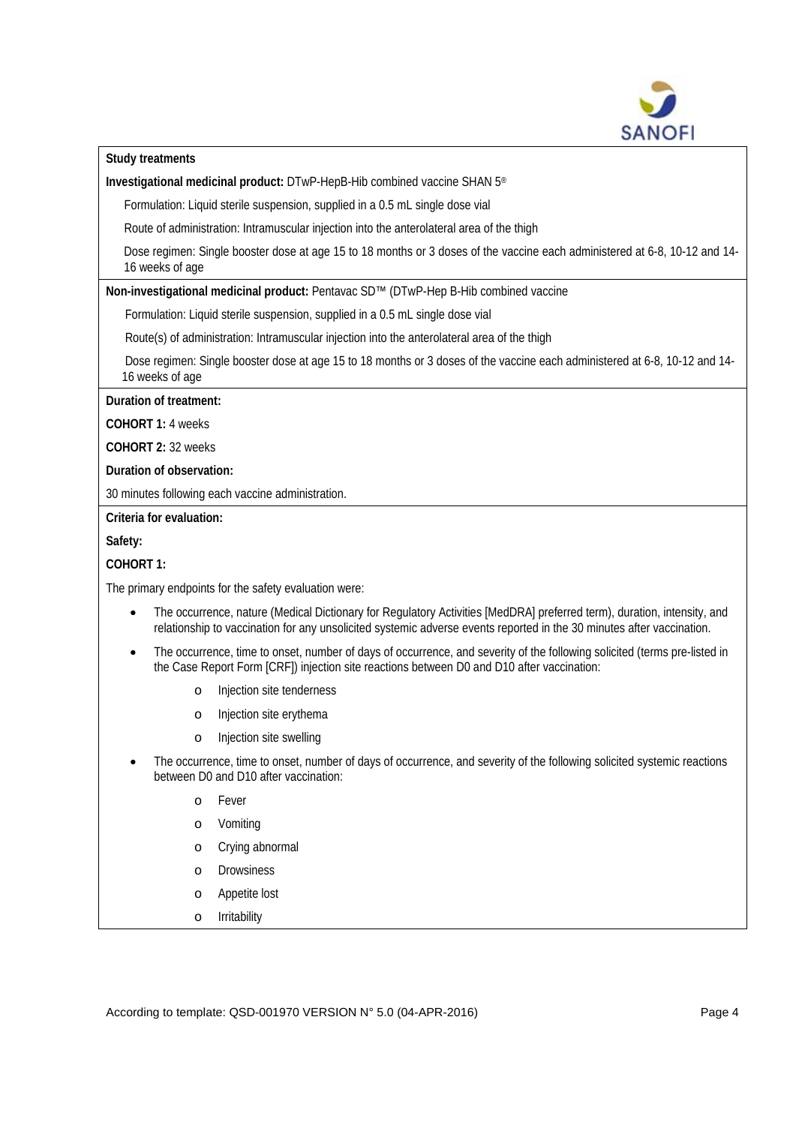

**Study treatments**

**Investigational medicinal product:** DTwP-HepB-Hib combined vaccine SHAN 5®

Formulation: Liquid sterile suspension, supplied in a 0.5 mL single dose vial

Route of administration: Intramuscular injection into the anterolateral area of the thigh

Dose regimen: Single booster dose at age 15 to 18 months or 3 doses of the vaccine each administered at 6-8, 10-12 and 14- 16 weeks of age

**Non-investigational medicinal product:** Pentavac SD™ (DTwP-Hep B-Hib combined vaccine

Formulation: Liquid sterile suspension, supplied in a 0.5 mL single dose vial

Route(s) of administration: Intramuscular injection into the anterolateral area of the thigh

Dose regimen: Single booster dose at age 15 to 18 months or 3 doses of the vaccine each administered at 6-8, 10-12 and 14- 16 weeks of age

**Duration of treatment:**

**COHORT 1:** 4 weeks

**COHORT 2:** 32 weeks

**Duration of observation:**

30 minutes following each vaccine administration.

# **Criteria for evaluation:**

**Safety:** 

# **COHORT 1:**

The primary endpoints for the safety evaluation were:

- The occurrence, nature (Medical Dictionary for Regulatory Activities [MedDRA] preferred term), duration, intensity, and relationship to vaccination for any unsolicited systemic adverse events reported in the 30 minutes after vaccination.
- The occurrence, time to onset, number of days of occurrence, and severity of the following solicited (terms pre-listed in the Case Report Form [CRF]) injection site reactions between D0 and D10 after vaccination:
	- o Injection site tenderness
	- o Injection site erythema
	- o Injection site swelling
- The occurrence, time to onset, number of days of occurrence, and severity of the following solicited systemic reactions between D0 and D10 after vaccination:
	- o Fever
	- o Vomiting
	- o Crying abnormal
	- o Drowsiness
	- o Appetite lost
	- o Irritability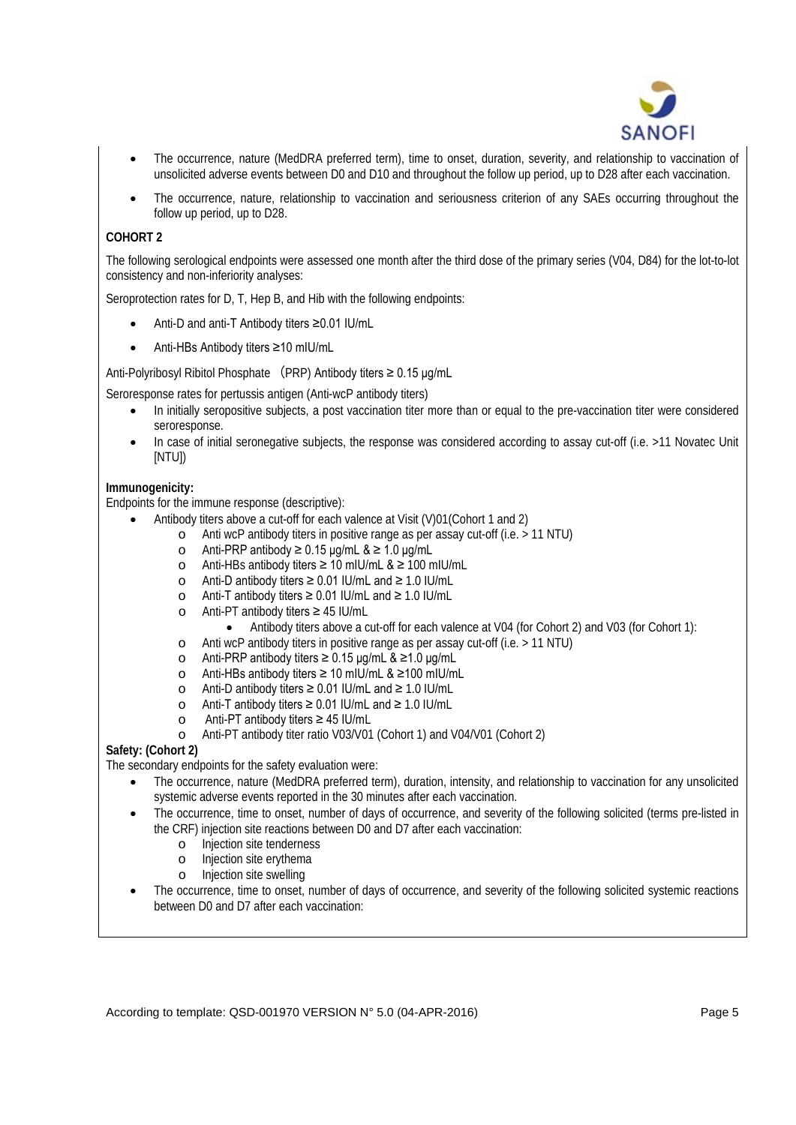

- The occurrence, nature (MedDRA preferred term), time to onset, duration, severity, and relationship to vaccination of unsolicited adverse events between D0 and D10 and throughout the follow up period, up to D28 after each vaccination.
- The occurrence, nature, relationship to vaccination and seriousness criterion of any SAEs occurring throughout the follow up period, up to D28.

# **COHORT 2**

The following serological endpoints were assessed one month after the third dose of the primary series (V04, D84) for the lot-to-lot consistency and non-inferiority analyses:

Seroprotection rates for D, T, Hep B, and Hib with the following endpoints:

- Anti-D and anti-T Antibody titers ≥0.01 IU/mL
- Anti-HBs Antibody titers ≥10 mIU/mL

Anti-Polyribosyl Ribitol Phosphate (PRP) Antibody titers ≥ 0.15 μg/mL

Seroresponse rates for pertussis antigen (Anti-wcP antibody titers)

- In initially seropositive subjects, a post vaccination titer more than or equal to the pre-vaccination titer were considered seroresponse.
- In case of initial seronegative subjects, the response was considered according to assay cut-off (i.e. >11 Novatec Unit [NTU])

## **Immunogenicity:**

Endpoints for the immune response (descriptive):

- Antibody titers above a cut-off for each valence at Visit (V)01(Cohort 1 and 2)
	- o Anti wcP antibody titers in positive range as per assay cut-off (i.e. > 11 NTU)
		- o Anti-PRP antibody  $\geq 0.15$  µg/mL &  $\geq 1.0$  µg/mL
		- o Anti-HBs antibody titers ≥ 10 mIU/mL & ≥ 100 mIU/mL
		- o Anti-D antibody titers ≥ 0.01 IU/mL and ≥ 1.0 IU/mL
		- o Anti-T antibody titers ≥ 0.01 IU/mL and ≥ 1.0 IU/mL
		- o Anti-PT antibody titers ≥ 45 IU/mL
			- Antibody titers above a cut-off for each valence at V04 (for Cohort 2) and V03 (for Cohort 1):
		- o Anti wcP antibody titers in positive range as per assay cut-off (i.e. > 11 NTU)
		- o Anti-PRP antibody titers ≥ 0.15 μg/mL & ≥1.0 μg/mL
		- o Anti-HBs antibody titers ≥ 10 mIU/mL & ≥100 mIU/mL
		- o Anti-D antibody titers ≥ 0.01 IU/mL and ≥ 1.0 IU/mL
		- o Anti-T antibody titers ≥ 0.01 IU/mL and ≥ 1.0 IU/mL
		-
		- o Anti-PT antibody titers ≥ 45 IU/mL Anti-PT antibody titer ratio V03/V01 (Cohort 1) and V04/V01 (Cohort 2)

### **Safety: (Cohort 2)**

The secondary endpoints for the safety evaluation were:

- The occurrence, nature (MedDRA preferred term), duration, intensity, and relationship to vaccination for any unsolicited systemic adverse events reported in the 30 minutes after each vaccination.
- The occurrence, time to onset, number of days of occurrence, and severity of the following solicited (terms pre-listed in the CRF) injection site reactions between D0 and D7 after each vaccination:
	- o Injection site tenderness<br>o Injection site erythema
	- o Injection site erythema<br>o Injection site swelling
	- Injection site swelling
- The occurrence, time to onset, number of days of occurrence, and severity of the following solicited systemic reactions between D0 and D7 after each vaccination: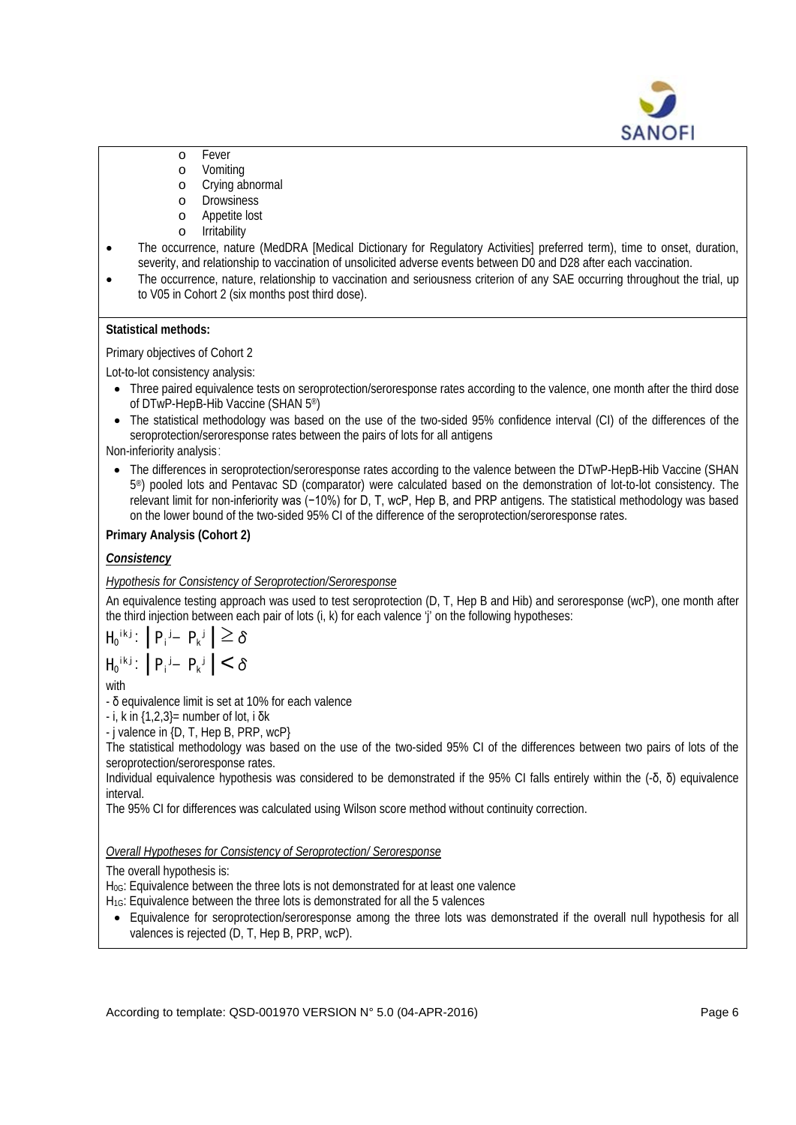

- o Fever<br>o Vomit
- o Vomiting<br>o Crving at
- Crying abnormal
- o Drowsiness
- o Appetite lost<br>o Irritability
- Irritability
- The occurrence, nature (MedDRA [Medical Dictionary for Regulatory Activities] preferred term), time to onset, duration, severity, and relationship to vaccination of unsolicited adverse events between D0 and D28 after each vaccination.
- The occurrence, nature, relationship to vaccination and seriousness criterion of any SAE occurring throughout the trial, up to V05 in Cohort 2 (six months post third dose).

### **Statistical methods:**

Primary objectives of Cohort 2

Lot-to-lot consistency analysis:

- Three paired equivalence tests on seroprotection/seroresponse rates according to the valence, one month after the third dose of DTwP-HepB-Hib Vaccine (SHAN 5®)
- The statistical methodology was based on the use of the two-sided 95% confidence interval (CI) of the differences of the seroprotection/seroresponse rates between the pairs of lots for all antigens

Non-inferiority analysis:

• The differences in seroprotection/seroresponse rates according to the valence between the DTwP-HepB-Hib Vaccine (SHAN 5®) pooled lots and Pentavac SD (comparator) were calculated based on the demonstration of lot-to-lot consistency. The relevant limit for non-inferiority was (−10%) for D, T, wcP, Hep B, and PRP antigens. The statistical methodology was based on the lower bound of the two-sided 95% CI of the difference of the seroprotection/seroresponse rates.

# **Primary Analysis (Cohort 2)**

# *Consistency*

# *Hypothesis for Consistency of Seroprotection/Seroresponse*

An equivalence testing approach was used to test seroprotection (D, T, Hep B and Hib) and seroresponse (wcP), one month after the third injection between each pair of lots (i, k) for each valence 'j' on the following hypotheses:

$$
H_0^{i k j}: |P_i^{j} - P_k^{j}| \ge \delta
$$
  

$$
H_0^{i k j}: |P_i^{j} - P_k^{j}| < \delta
$$

with

- δ equivalence limit is set at 10% for each valence

- i, k in {1,2,3}= number of lot, i δk

- j valence in {D, T, Hep B, PRP, wcP}

The statistical methodology was based on the use of the two-sided 95% CI of the differences between two pairs of lots of the seroprotection/seroresponse rates.

Individual equivalence hypothesis was considered to be demonstrated if the 95% CI falls entirely within the  $($ -δ, δ) equivalence interval.

The 95% CI for differences was calculated using Wilson score method without continuity correction.

### *Overall Hypotheses for Consistency of Seroprotection/ Seroresponse*

### The overall hypothesis is:

H<sub>0G</sub>: Equivalence between the three lots is not demonstrated for at least one valence

- H1G: Equivalence between the three lots is demonstrated for all the 5 valences
- Equivalence for seroprotection/seroresponse among the three lots was demonstrated if the overall null hypothesis for all valences is rejected (D, T, Hep B, PRP, wcP).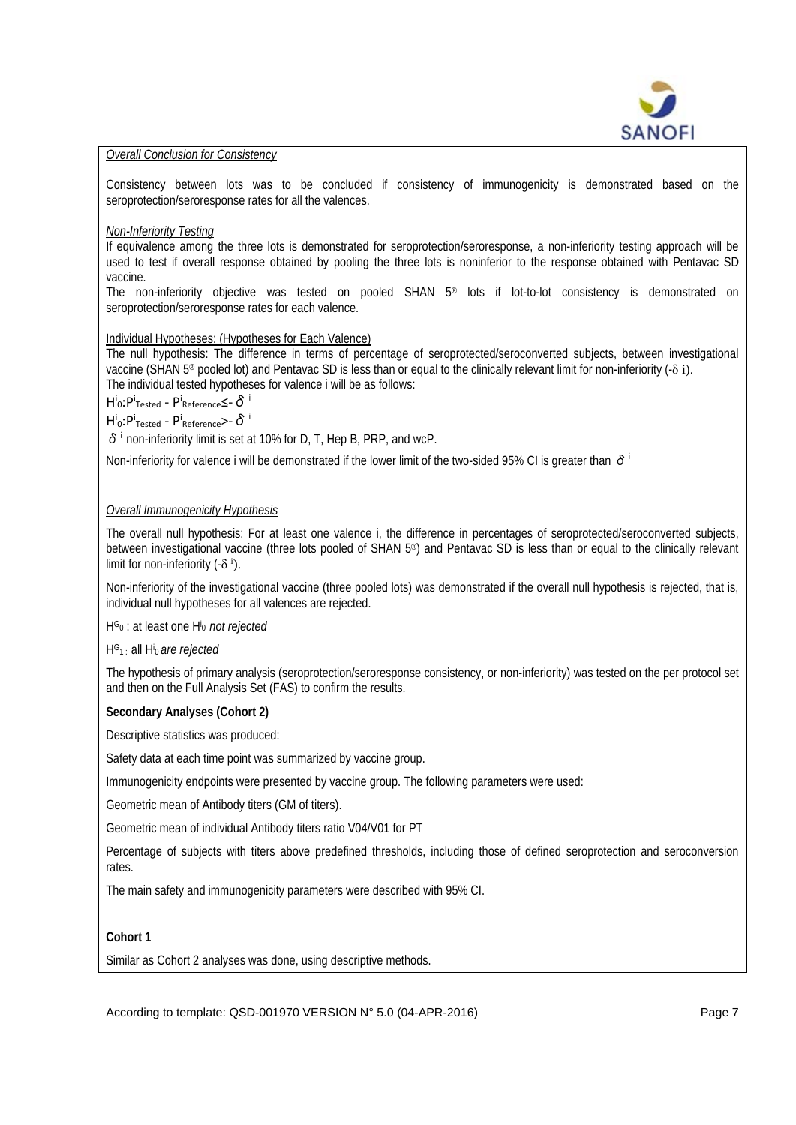

### *Overall Conclusion for Consistency*

Consistency between lots was to be concluded if consistency of immunogenicity is demonstrated based on the seroprotection/seroresponse rates for all the valences.

### *Non-Inferiority Testing*

If equivalence among the three lots is demonstrated for seroprotection/seroresponse, a non-inferiority testing approach will be used to test if overall response obtained by pooling the three lots is noninferior to the response obtained with Pentavac SD vaccine.

The non-inferiority objective was tested on pooled SHAN 5® lots if lot-to-lot consistency is demonstrated on seroprotection/seroresponse rates for each valence.

### Individual Hypotheses: (Hypotheses for Each Valence)

The null hypothesis: The difference in terms of percentage of seroprotected/seroconverted subjects, between investigational vaccine (SHAN 5® pooled lot) and Pentavac SD is less than or equal to the clinically relevant limit for non-inferiority (-δ i). The individual tested hypotheses for valence i will be as follows:

 $H^i$ 0: P<sup>i</sup> $\tau$ ested - P<sup>i</sup>Reference S- $\delta$ <sup>i</sup>

 $H^i$ <sub>0</sub>: P<sup>i</sup><sub>Tested</sub> - P<sup>i</sup><sub>Reference</sub>>- δ<sup>i</sup>

 $\delta$ <sup>i</sup> non-inferiority limit is set at 10% for D, T, Hep B, PRP, and wcP.

Non-inferiority for valence i will be demonstrated if the lower limit of the two-sided 95% CI is greater than  $\delta^i$ 

## *Overall Immunogenicity Hypothesis*

The overall null hypothesis: For at least one valence i, the difference in percentages of seroprotected/seroconverted subjects, between investigational vaccine (three lots pooled of SHAN 5®) and Pentavac SD is less than or equal to the clinically relevant limit for non-inferiority  $(-\delta^i)$ .

Non-inferiority of the investigational vaccine (three pooled lots) was demonstrated if the overall null hypothesis is rejected, that is, individual null hypotheses for all valences are rejected.

HG0 : at least one Hi <sup>0</sup>*not rejected*

HG1 : all Hi <sup>0</sup> *are rejected*

The hypothesis of primary analysis (seroprotection/seroresponse consistency, or non-inferiority) was tested on the per protocol set and then on the Full Analysis Set (FAS) to confirm the results.

### **Secondary Analyses (Cohort 2)**

Descriptive statistics was produced:

Safety data at each time point was summarized by vaccine group.

Immunogenicity endpoints were presented by vaccine group. The following parameters were used:

Geometric mean of Antibody titers (GM of titers).

Geometric mean of individual Antibody titers ratio V04/V01 for PT

Percentage of subjects with titers above predefined thresholds, including those of defined seroprotection and seroconversion rates.

The main safety and immunogenicity parameters were described with 95% CI.

### **Cohort 1**

Similar as Cohort 2 analyses was done, using descriptive methods.

According to template: QSD-001970 VERSION N° 5.0 (04-APR-2016) Page 7